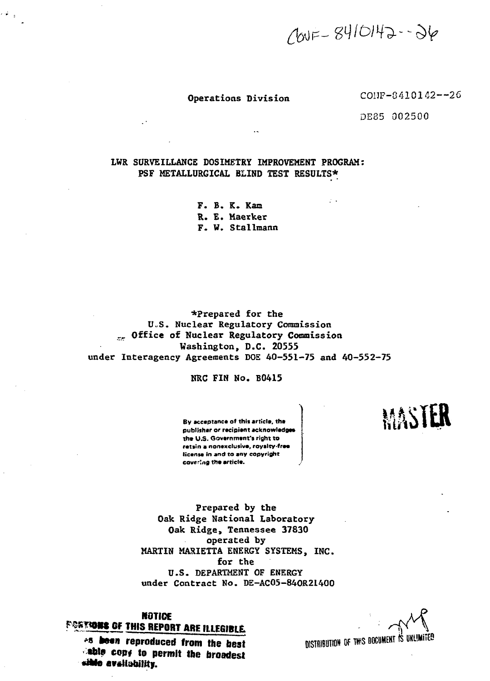$100F - 8410142 - 36$ 

Operations Division COHF-8410142--26

DE85 002500

# **LWR SURVEILLANCE DOSIMETRY IMPROVEMENT PROGRAM: PSF METALLURGICAL BLIND TEST RESULTS\***

**F. B. K. Kam R. E. Maerker F. W. Stallmann**

**\*Prepared for the U.S. Nuclear Regulatory Commission rr Office of Nuclear Regulatory Commission Washington, D.C. 20555 under Interagency Agreements DOE 40-551-75 and 40-552-75**

#### **NRC FIN No. B0415**

**By acceptance of thli article, the publisher or recipient acknowledges the U.S. Government's right to retiin a nonexclusive, royalty-free: license in and to any copyright covering the article.**

**prepared by the Oak Ridge National Laboratory Oak Ridge, Tennessee 37830 operated by MARTIN MARIETTA ENERGY SYSTEMS, INC. for the U.S. DEPARTMENT OF ENERGY under Contract No. DE-AC05-84OR21400**

**KOTIOE**

<sup>25</sup> been reproduced from the best **•ship copy to permit the broadest** sible avsilability.



MASTER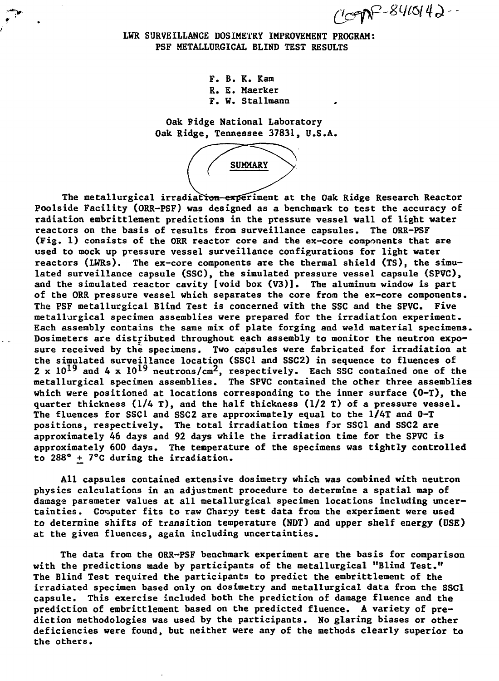$(100P - 841014)$ 

# **LWR SURVEILLANCE DOSIMETRY IMPROVEMENT PROGRAM: PSF METALLURGICAL BLIND TEST RESULTS**

**F. B. K. Kam R. E. Maerker F. W. Stallmann**

**Oak Ridge National Laboratory Oak Ridge, Tennessee 37831, U.S.A.**



**The metallurgical irradiation—experiment at the Oak Ridge Research Reactor Poolside Facility (ORR-PSF) was designed as a benchmark to test the accuracy of radiation embrittlement predictions in the pressure vessel wall of light water reactors on the basis of results from surveillance capsules. The ORR-PSF (Fig. 1) consists of the ORR reactor core and the ex-core components that are used to mock up pressure vessel surveillance configurations for light water reactors (LWRs). The ex-core components are the thermal shield (TS), the simulated surveillance capsule (SSC), the simulated pressure vessel capsule (SPVC), and the simulated reactor cavity [void box (V3)]. The aluminum window is part of the ORR pressure vessel which separates the core from the ex-core components. The PSF metallurgical Blind Test is concerned with the SSC and the SPVC. Five metallurgical specimen assemblies were prepared for the irradiation experiment. Each assembly contains the same mix of plate forging and weld material specimens. Dosimeters are distributed throughout each assembly to monitor the neutron exposure received by the specimens. Two capsules were fabricated for irradiation at the simulated surveillance location (SSCl and SSC2) in sequence to fluences of**  $2 \times 10^{19}$  and 4 x  $10^{19}$  neutrons/cm<sup>2</sup>, respectively. Each SSC contained one of the **metallurgical specimen assemblies. The SPVC contained the other three assemblies which were positioned at locations corresponding to the inner surface (0-T), the quarter thickness (1/4 T), and the half thickness (1/2 T) of a pressure vessel. The fluences for SSCl and SSC2 are approximately equal to the 1/4T and 0-T positions, respectively. The total irradiation times far SSCl and SSC2 are approximately 46 days and 92 days while the irradiation time for the SPVC is approximately 600 days. The temperature of the specimens was tightly controlled to 288° \*\_ 7°C during the irradiation.**

**All capsules contained extensive dosimetry which was combined with neutron physics calculations in an adjustment procedure to determine a spatial map of damage parameter values at all metallurgical specimen locations including uncertainties. Computer fits to raw Charpy test data from the experiment were used to determine shifts of transition temperature (NDT) and upper shelf energy (USE) at the given fluences, again including uncertainties.**

**The data from the ORR-PSF benchmark experiment are the basis for comparison with the predictions made by participants of the metallurgical "Blind Test." The Blind Test required the participants to predict the embrittlement of the irradiated specimen based only on dosimetry and metallurgical data from the SSCl capsule. This exercise included both the prediction of damage fluence and the prediction of embrittlement based on the predicted fluence. A variety of prediction methodologies was used by the participants. No glaring biases or other deficiencies were found, but neither were any of the methods clearly superior to the others.**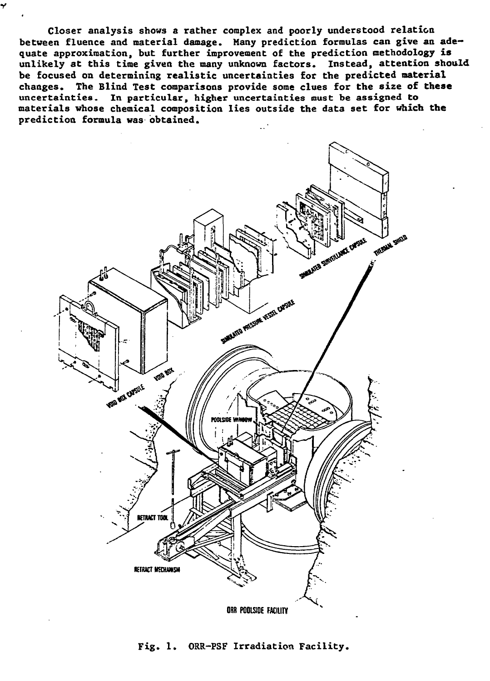**Closer analysis shows a rather complex and poorly understood relation between fluence and material damage. Many prediction formulas can give an adequate approximation, but further improvement of the prediction methodology is unlikely at this time given the many unknown factors. Instead, attention should be focused on determining realistic uncertainties for the predicted material changes. The Blind Test comparisons provide some clues for the size of these uncertainties. In particular, higher uncertainties must be assigned to materials whose chemical composition lies outside the data set for which the prediction formula was obtained.**



**Fig. 1. ORR-PSF Irradiation Facility.**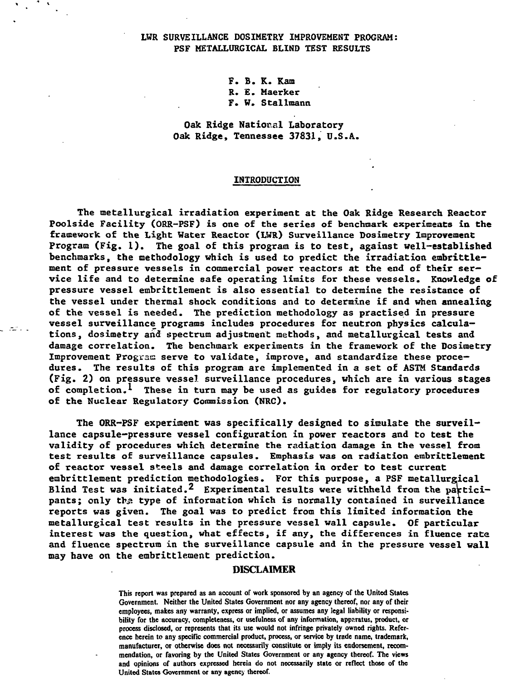# **LWR SURVEILLANCE DOSIMETRY IMPROVEMENT PROGRAM: PSF METALLURGICAL BLIND TEST RESULTS**

**F. B. K. Kam R. E. Maerker F. W. Stallmann**

**Oak Ridge National Laboratory Oak Ridge, Tennessee 37831, U.S.A.**

#### **INTRODUCTION**

**The metallurgical irradiation experiment at the Oak Ridge Research Reactor Poolside Facility (ORR-PSF) is one of the series of benchmark experiments in the framework of the Light Water Reactor (LWR) Surveillance Dosimetry Improvement Program (Fig. 1). The goal of this program is to test, against well-established benchmarks, the methodology which is used to predict the irradiation embrittlement of pressure vessels in commercial power reactors at the end of their service life and to determine safe operating limits for these vessels. Knowledge of pressure vessel embrittleraent is also essential to determine the resistance of the vessel under thermal shock conditions and to determine if and when annealing of the vessel is needed. The prediction methodology as practised in pressure vessel surveillance programs includes procedures for neutron physics calculations, dosimetry and spectrum adjustment methods, and metallurgical tests and damage correlation. The benchmark experiments in the framework of the Dosimetry** Improvement Program serve to validate, improve, and standardize these proce**dures . The results of this program are implemented in a set of ASTM Standards (Fig. 2) on pressure vessel surveillance procedures, which are in various stages of completion.\* These in turn may be used as guides for regulatory procedures of the Nuclear Regulatory Commission (NRC).**

ಲಿ ಮಾಲ

**The ORR-PSF experiment was specifically designed to simulate the surveillance capsule-pressure vessel configuration in power reactors and to test the validity of procedures which determine the radiation damage in the vessel from** test results of surveillance capsules. Emphasis was on radiation embrittlement **of reactor vessel steels and damage correlation in order to test current embrittlement prediction methodologies. For this purpose, a PSF metallurgical** Blind Test was initiated.<sup>2</sup> Experimental results were withheld from the participants; only the type of information which is normally contained in surveillance **reports was given. The goal was to predict from this limited information the metallurgical test results in the pressure vessel wall capsule. Of particular interest was the question, what effects, if any, the differences in fluence rate and fluence spectrum in the surveillance capsule and in the pressure vessel wall may have on the embrittlement prediction.**

#### **DISCLAIMER**

**This report was prepared as an account of work sponsored by an agency af the United States Government. Neither the United States Government nor any agency thereof, nor any of their employees, makes any warranty, express or implied, or assumes any legal liability or responsibility for the accuracy, completeness, or usefulness of any information, apparatus, product, or process disclosed, or represents that its use would not infringe privately owned rights. Reference herein to any specific commercial product, process, or service by trade name, trademark, manufacturer, or otherwise does not necessarily constitute or imply its endorsement, recommendation, or favoring by the United States Government or any agency thereof. The views and opinions of authors expressed herein do not necessarily state or reflect those of the United States Government or any agency thereof.**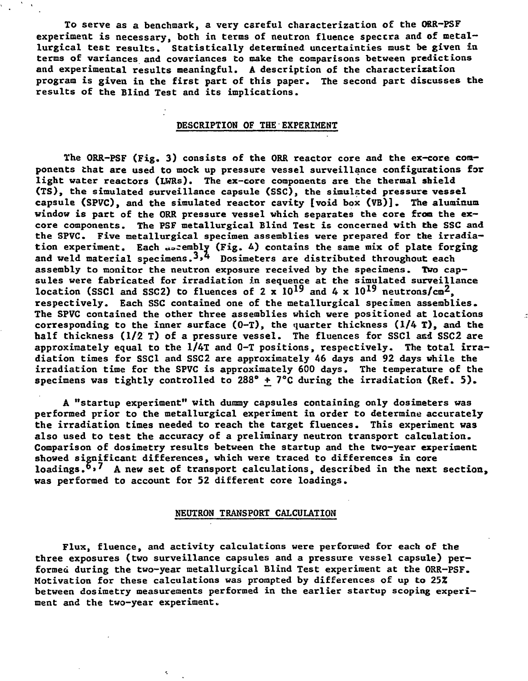**To serve as a benchmark, a very careful characterization of the ORR-PSF** experiment is necessary, both in terms of neutron fluence spectra and of metal**lurgical test results. Statistically determined uncertainties must be given in terms of variances and covariances to make the comparisons between predictions and experimental results meaningful. A description of the characterization program is given in the first part of this paper. The second part discusses the results of the Blind Test and its implications.**

# **DESCRIPTION OF THE EXPERIMENT**

**The ORR-PSF (Fig. 3) consists of the ORR reactor core and the ex-core components that are used to mock up pressure vessel surveillance configurations for light water reactors (LWRs). The ex-core components are the thermal shield (TS), the simulated surveillance capsule (SSC), the simulated pressure vessel capsule (SPVC), and the simulated reactor cavity [void box (VB)]. The aluminum window is part of the ORR pressure vessel which separates the core from the excore components. The PSF metallurgical Blind Test is concerned with the SSC and the SPVC. Five metallurgical specimen assemblies were prepared for the irradiation experiment. Each «acembly (Fig. A) contains the same mix of plate forging and weld material specimens.3>4 Dosimeters are distributed throughout each assembly to monitor the neutron exposure received by the specimens. Two capsules were fabricated for irradiation in sequence at the simulated surveillance** location (SSC1 and SSC2) to fluences of 2  $\mathbf{x}$  10<sup>19</sup> and 4  $\mathbf{x}$  10<sup>19</sup> neutrons/cm<sup>2</sup>, **respectively. Each SSC contained one of the metallurgical specimen assemblies. The SPVC contained the other three assemblies which were positioned at locations corresponding to the inner surface (0-T), the quarter thickness (1/4 T), and the half thickness (1/2 T) of a pressure vessel. The fluences for SSCl and SSC2 are approximately equal to the 1/4T and 0-T positions, respectively. The total irradiation times for SSCl and SSC2 are approximately 46 days and 92 days while the irradiation time for the SPVC is approximately 600 days. The temperature of the specimens was tightly controlled to 288° +\_ 7°C during the irradiation (Ref. 5) .**

**A "startup experiment" with dummy capsules containing only dosimeters was performed prior to the metallurgical experiment in order to determine accurately the irradiation times needed to reach the target fluences. This experiment was also used to test the accuracy of a preliminary neutron transport calculation. Comparison of dosimetry results between the startup and the two-year experiment showed significant differences, which were traced to differences in core** loadings.<sup>6</sup>,<sup>7</sup> A new set of transport calculations, described in the next section, **was performed to account for 52 different core loadings.**

# **NEUTRON TRANSPORT CALCULATION**

**Flux, fluence, and activity calculations were performed for each of the three exposures (two surveillance capsules and a pressure vessel capsule) performed during the two-year metallurgical Blind Test experiment at the ORR-PSF. Motivation for these calculations was prompted by differences of up to 25Z between dosimetry measurements performed in the earlier startup scoping experiment and the two-year experiment.**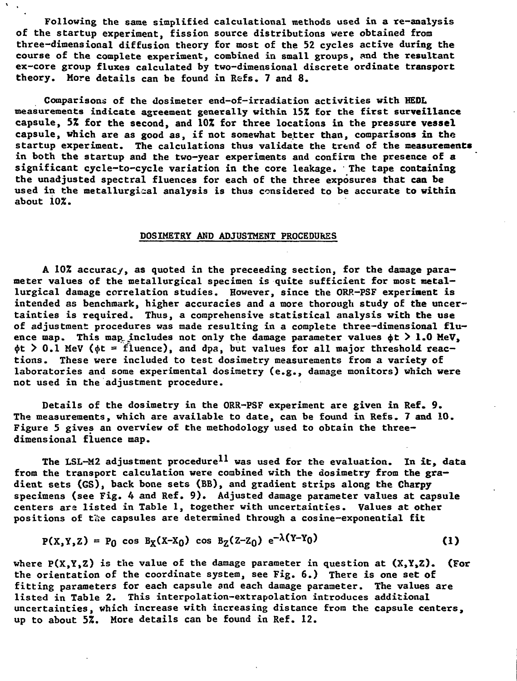**Following the same simplified calculational methods used in a re-analysis of the startup experiment, fission source distributions were obtained from three-dimensional diffusion theory for most of the 52 cycles active during the course of the complete experiment, combined in small groups, and the resultant ex-core group fluxes calculated by two-dimensional discrete ordinate transport theory. More details can be found in Refs. 7 and 8.**

**Comparisons of the dosimeter end-of-irradiation activities with HEDL measurements indicate agreement generally within 15% for the first surveillance capsule, 5% for the second, and 10% for three locations in the pressure vessel capsule, which are as good as, if not somewhat better than, comparisons in the startup experiment. The calculations thus validate the trend of the measurements in both the startup and the two-year experiments and confirm the presence of a significant cycle-to-cycle variation in the core leakage. ' The tape containing the unadjusted spectral fluences for each of the three exposures that can be used in the metallurgical analysis is thus considered to be accurate to within about 10%.**

#### **DOSIMETRY AND ADJUSTMENT PROCEDURES**

**A 102 accuracy, as quoted in the preceeding section, for the damage parameter values of the metallurgical specimen is quite sufficient for most metallurgical damage correlation studies. However, since the ORR-FSF experiment is intended as benchmark, higher accuracies and a more thorough study of the uncertainties is required. Thus, a comprehensive statistical analysis with the use of adjustment: procedures was made resulting in a complete three—dimensional flu** ence map. This map includes not only the damage parameter values  $\phi t > 1.0$  MeV,  $\phi t > 0.1$  MeV ( $\phi t = f$ luence), and dpa, but values for all major threshold reac**tions. These were included to test dosimetry measurements from a variety of laboratories and some experimental dosimetry (e.g., damage monitors) which were not used in the adjustment procedure.**

**Details of the dosimetry in the ORR-PSF experiment are given in Ref. 9. The measurements, which are available to date, can be found in Refs. 7 and 10. Figure 5 gives an overview of the methodology used to obtain the threedimensional fluence map.**

**The LSL-M2 adjustment procedure\*\* was used for the evaluation. In it, data from the transport calculation were combined with the dosimetry from the gradient sets (GS), back bone sets (BB), and gradient strips along the Charpy specimens (see Fig. 4 and Ref. 9). Adjusted damage parameter values at capsule centers ara listed in Table 1, together with uncertainties. Values at other** positions of the capsules are determined through a cosine-exponential fit

$$
P(X,Y,Z) = P_0 \cos B_X(X-X_0) \cos B_Z(Z-Z_0) e^{-\lambda(Y-Y_0)}
$$
 (1)

**where P(X,Y,Z) is the value of the damage parameter in question at (X,Y,Z). (For the orientation of the coordinate system, see Fig. 6.) There is one set of fitting parameters for each capsule and each damage parameter. The values are listed in Table 2. This interpolation-extrapolation introduces additional uncertainties, which increase with increasing distance from the capsule centers, up to about 5%. More details can be found in Ref. 12.**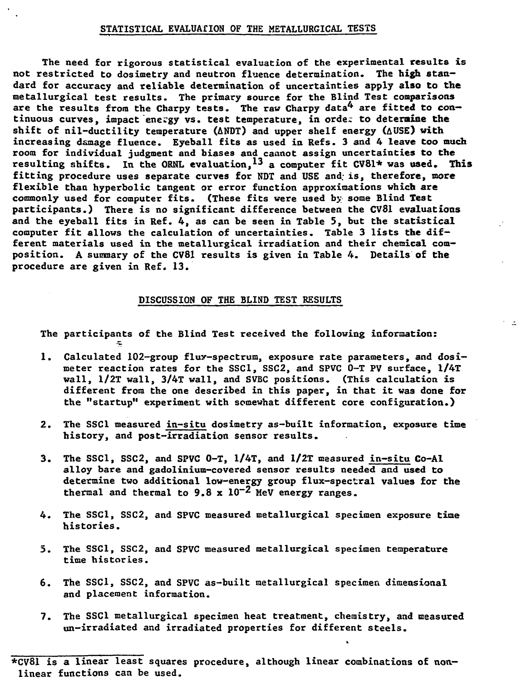# **STATISTICAL EVALUATION OF THE METALLURGICAL TESTS**

**The need for rigorous statistical evaluation of the experimental results is not restricted to dosimetry and neutron fluence determination. The high standard for accuracy and reliable determination of uncertainties apply also to the metallurgical test results. The primary source for the Blind Test comparisons** are the results from the Charpy tests. The raw Charpy data<sup>4</sup> are fitted to con**tinuous curves, impact energy vs. test temperature, in orde; to determine the shift of nil-ductility temperature (ANDT) arid upper shelf energy (AUSE) with increasing damage fluence. Eyeball fits as used in Refs. 3 and 4 leave too much room for individual judgment and biases and cannot assign uncertainties to the resulting shifts. In the ORNL evaluation,<sup>13</sup> a computer fit CV81\* was used. This fitting procedure uses separate curves for NDT and USE and; is, therefore, more flexible than hyperbolic tangent or error function approximations which are commonly used for computer fits. (These fits were used by some Blind Test participants.) There is no significant difference between the CV81 evaluations and the eyeball fits in Ref. 4, as can be seen in Table 5, but the statistical computer fit allows the calculation of uncertainties. Table 3 lists the different materials used in the metallurgical irradiation and their chemical composition. A summary of the CV81 results is given in Table 4. Details of the procedure are given in Ref. 13.**

### **DISCUSSION OF THE BLIND TEST RESULTS**

**The participants of the Blind Test received the following information:**

- **1. Calculated 102-group flux-spectrum, exposure rate parameters, and dosimeter reaction rates for the SSCl, SSC2, and SPVC 0-T PV surface, 1/4T wall, 1/2T wall, 3/4T wall, and SVBC positions. (This calculation is different from the one described in this paper, in that it was done for the "startup" experiment with somewhat different core configuration.)**
- **2. The SSCl measured in-situ dosimetry as-built information, exposure time history, and post-irradiation sensor results.**
- **3. The SSCl, SSC2, and SPVC 0-T, 1/4T, and 1/2T measured in-situ Co-Al alloy bare and gadolinium-covered sensor results needed and used to determine two additional low-energy group flux-spectral values for the thermal and thermal to 9.8 x 10~2 MeV energy ranges.**
- **4. The SSCl, SSC2, and SPVC measured metallurgical specimen exposure time histories.**
- **5. The SSCl, SSC2, and SPVC measured metallurgical specimen temperature time histories.**
- **6. The SSCl, SSC2, and SPVC as-built metallurgical specimen dimensional and placement information.**
- **7. The SSCl metallurgical specimen heat treatment, chemistry, and measured un-irradiated and irradiated properties for different steels.**

**<sup>\*</sup>CV81 is a linear least squares procedure, although linear combinations of nonlinear functions can be used.**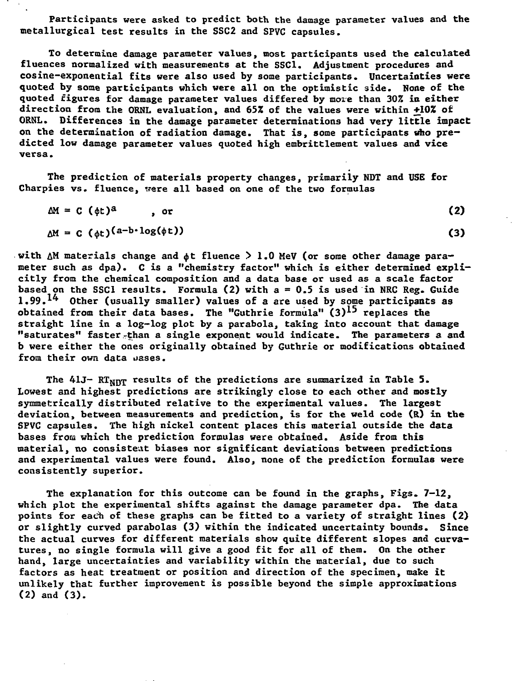**Participants were asked to predict both the damage parameter values and the metallurgical test results in the SSC2 and SPVC capsules.**

**To determine damage parameter values, most participants used the calculated fluences normalized with measurements at the SSCl. Adjustment procedures and cosine-exponential fits were also used by some participants. Uncertainties were quoted by some participants which were all on the optimistic side. None of the quoted figures for damage parameter values differed by more than 30% in either direction from the ORNL evaluation, and 65Z of the values were within +10% of ORNL. Differences in the damage parameter determinations had very little impact: on the determination of radiation damage. That is, some participants who predicted low damage parameter values quoted high embrittlement values and vice versa.**

**The prediction of materials property changes, primarily NDT and USE for Charpies vs. fluence, were all based on one of the two formulas**

$$
\Delta M = C \left( \phi t \right)^a, \quad \sigma
$$
\n
$$
\Delta M = C \left( \phi t \right)^{(a-b \cdot \log(\phi t))}
$$
\n(2)

with  $\Delta$ M materials change and  $\phi$ t fluence > 1.0 MeV (or some other damage para**meter such as dpa). C is a "chemistry factor" which is either determined explicitly from the chemical composition and a data base or used as a scale factor based on the SSCl results. Formula (2) with a - 0.5 is used in NRC Reg. Guide** 1.99.<sup>14</sup> Other (usually smaller) values of a are used by some participants as **obtained from their data bases. The "Guthrie formula" (3) ^ replaces the straight line in a log-log plot by a parabola, taking into account that damage "saturates" faster-than a single exponent would indicate. The parameters a and b were either the ones originally obtained by Guthrie or modifications obtained from their own data uases.**

The 41J- RT<sub>NNT</sub> results of the predictions are summarized in Table 5. **Lowest and highest predictions are strikingly close to each other and mostly symmetrically distributed relative to the experimental values. The largest deviation, between measurements and prediction, is for the weld code (R) in the SFVC capsules. The high nickel content places this material outside the data bases from which the prediction formulas were obtained. Aside from this material, no consistent biases nor significant deviations between predictions and experimental values were found. Also, none of the prediction formulas were consistently superior.**

**The explanation for this outcome can be found in the graphs, Figs. 7-12, which plot the experimental shifts against the damage parameter dpa. The data points for each of these graphs can be fitted to a variety of straight lines (2) or slightly curved parabolas (3) within the indicated uncertainty bounds. Since the actual curves for different materials show quite different slopes and curvatures, no single formula will give a good fit for all of them. On the other hand, large uncertainties and variability within the material, due to such factors as heat treatment or position and direction of the specimen, make it unlikely that further improvement is possible beyond the simple approximations (2) and (3).**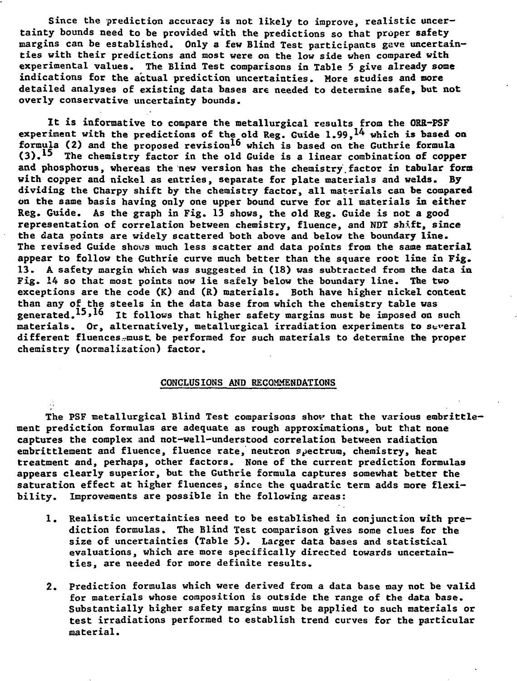**Since the prediction accuracy is not likely to improve, realistic uncertainty bounds need to be provided with the predictions so that proper safety margins can be established. Only a few Blind Test participants gave uncertainties with their predictions and most were on the low side when compared with experimental values. The Blind Test comparisons in Table 5 give already some indications for the actual prediction uncertainties. More studies and more detailed analyses of existing data bases are needed to determine safe, but not overly conservative uncertainty bounds.**

**It is informative to compare the metallurgical results from the ORR-PSF** experiment with the predictions of the old Reg. Guide 1.99.<sup>14</sup> which is based on formula (2) and the proposed revision<sup>16</sup> which is based on the Guthrie formula (3).<sup>15</sup> The chemistry factor in the old Guide is a linear combination of copper **and phosphorus, whereas the new version has the chemistry.factor in tabular fora with copper and nickel as entries, separate for plate materials and welds. By dividing the Charpy shift by the chemistry factor, all materials can be compared on the same basis having only one upper bound curve for all materials in either Reg. Guide. As the graph in Fig. 13 shows, the old Reg. Guide is not a good representation of correlation between chemistry, fluence, and NDT shift, since the data points are widely scattered both above and below the boundary line. The revised Guide shows much less scatter and data points from the same material appear to follow the Guthrie curve much better than the square root line in Fig. 13. A safety margin which was suggested in (18) was subtracted from the data in Fig. 14 so that most points now lie safely below the boundary line. The two exceptions are the code (K) and (R) materials. Both have higher nickel content than any of the steels in the data base from which the chemistry table was** generated.<sup>15,16</sup> It follows that higher safety margins must be imposed on such **materials. Or, alternatively, metallurgical irradiation experiments to several different fluences-.-must, be performed for such materials to determine the proper chemistry (normalization) factor.**

# **CONCLUSIONS AND RECOMMENDATIONS**

**The PSF metallurgical Blind Test comparisons shop that the various embrittlement prediction formulas are adequate as rough approximations, but that none captures the complex and not-well-understood correlation between radiation embrittlenient and fluence, fluence rate, neutron spectrum, chemistry, heat treatment and, perhaps, other factors. None of the current prediction formulas appears clearly superior, but the Guthrie formula captures somewhat better the saturation effect at higher fluences, since the quadratic term adds more flexibility. Improvements are possible in the following areas:**

- **1. Realistic uncertainties need to be established in conjunction with prediction formulas. The Blind Test comparison gives some clues for the size of uncertainties (Table 5). Larger data bases and statistical evaluations, which are more specifically directed towards uncertainties, are needed for more definite results.**
- **2. Prediction formulas which were derived from a data base may not be valid for materials whose composition is outside the range of the data base. Substantially higher safety margins must be applied to such materials or test irradiations performed to establish trend curves for the particular material.**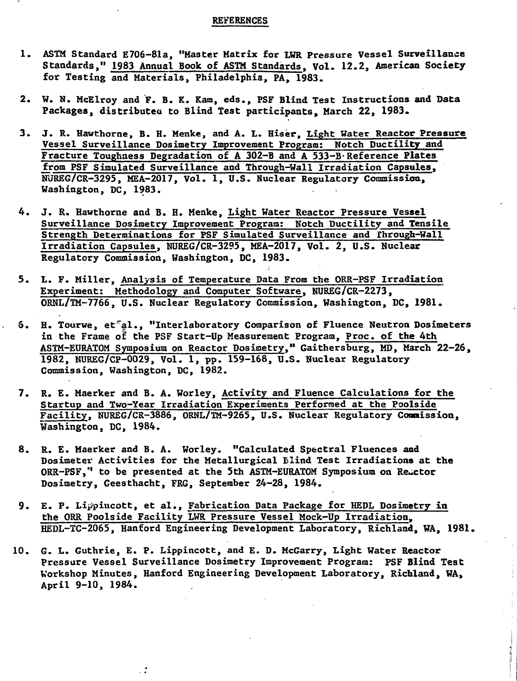#### **REVERENCES**

- **1. ASTM Standard E706-81a, "Master Matrix for LWR Pressure Vessel Surveillance Standards," 1983 Annual Book of ASTM Standards. Vol. 12.2, American Society for Testing and Materials, Philadelphia, PA, 1983.**
- **2. W. N. McElroy and F. B. K. Kam, eds., PSF Blind Test Instructions and Data Packages, distributea to Blind Test participants, March 22, 1983.**
- **3. J. R. Hawthorne, B. H. Menke, and A. L. Hiser, Light Water Reactor Pressure Vessel Surveillance Dosimetry Improvement Program; Notch Ductility and Fracture Toughness Degradation of A 302-B and A 533-B-Reference Plates from PSF Simulated Surveillance and Through-Wall Irradiation Capsules, NUREG/CR-3295, MEA-2017, Vol. 1, U.S. Nuclear Regulatory Commission, Washington, DC, 1983.**
- **4. J. R. Hawthorne and B. H. Menke, Light Water Reactor Pressure Vessel Surveillance Dosimetry Improvement Program: Notch Ductility and Tensile Strength Determinations for PSF Simulated Surveillance and Through-Wall Irradiation Capsules, NUREG/CR-3295, MEA-2017, Vol. 2, U.S. Nuclear Regulatory Commission, Washington, DC, 1983.**
- **5. L. F. Miller, Analysis of Temperature Data From the ORR-PSF Irradiation Experiment; Methodology and Computer Software, NUREG/CR-2273, ORNL/TM-7766, U.S. Nuclear Regulatory Commission, Washington, DC, 1981.**
- **6\* H. Tourwe, et'al., "Interlaboratory Comparison of Fluence Neutron Dosimeters in the Frame of the PSF Start-Up Measurement Program, Proc. of the 4th ASTM-EURATOM Symposium on Reactor Dosimetry," Gaithersburg, MD, March 22-26, 1982, NUREG/CP-0029, Vol. 1, pp. 159-168, U.S. Nuclear Regulatory Commission, Washington, DC, 1982.**
- **7. R. E. Maerker and B. A. Worley, Activity and Fluence Calculations for the Startup and Two-Year Irradiation Experiments Performed at the Poolside Facility, NUREG/CR-3886, ORNL/TM-9265, U.S. Nuclear Regulatory Commission, Washington, DC, 1984.**
- **8. R. E. Maerker and B. A. Worley. "Calculated Spectral Fluences and Dosimeter Activities for the Metallurgical Blind Test Irradiations at the ORR-PSF," to be presented at the 5th ASTM-EURATOM Symposium on Reuctor Dosimetry, Geesthacht, FRG, September 24-28, 1984.**
- **9. E. P. Li^pincott, et al., Fabrication Data Package for HEDL Dosimetry in the ORR Poolside Facility LWR Pressure Vessel Mock-Up Irradiation, HEDL-TC-2065, Hanford Engineering Development Laboratory, Richland, WA, 1981.**
- **10. G. L. Guthrie, E. P. Lippincott, and E. D. McGarry, Light Water Reactor Pressure Vessel Surveillance Dosiraetry Improvement Program: PSF Blind Test Workshop Minutes, Hanford Engineering Development Laboratory, Richland, WA, April 9-10, 1984.**

 $\mathcal{L}$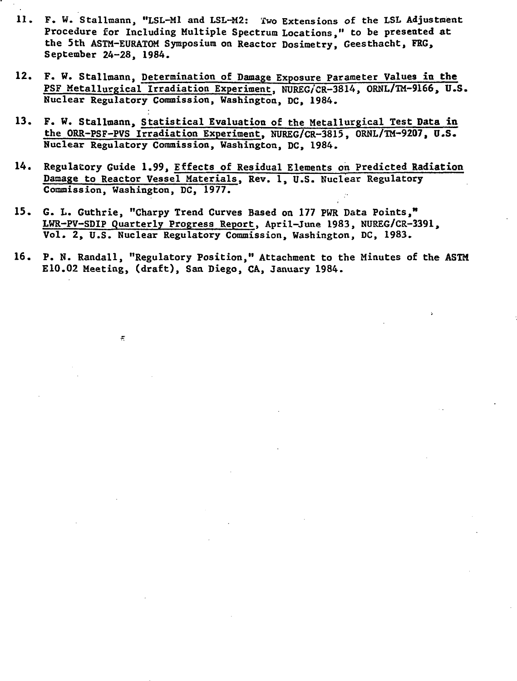- 11. F. W. Stallmann, "LSL-Ml and LSL-M2: Two Extensions of the LSL Adjustment Procedure for Including Multiple Spectrum Locations," to be presented at the 5th ASTM-EURATOM Symposium on Reactor Dosimetry, Geesthacht, FRG, September 24-28, 1984.
- 12. F. W. Stalltaann, Determination of Damage Exposure Parameter Values in **the** PSF Metallurgical Irradiation Experiment. NUREG/CR-3814, ORNL/TM-9166, U.S. Nuclear Regulatory Commission, Washington, DC, 1984.
- 13. F. W. Stallmann, Statistical Evaluation of the Metallurgical Test Data in the ORR-PSF-PVS Irradiation Experiment, NUREG/CR-3815, ORNL/TM-9207, U.S. Nuclear Regulatory Commission, Washington, DC, 1984.
- 14. Regulatory Guide 1.99, Effects of Residual Elements on Predicted Radiation Damage to Reactor Vessel Materials, Rev. 1, U.S. Nuclear Regulatory Commission, Washington, DC, 1977.
- 15. G. L. Guthrie, "Charpy Trend Curves Based on 177 PWR Data Points," LWR-PV-SDIP Quarterly Progress Report, April-June 1983, NUREG/CR-3391, Vol. 2, U.S. Nuclear Regulatory Commission, Washington, DC, 1983.

 $\pi$ 

16. P. N. Randall, "Regulatory Position," Attachment to the Minutes of the ASTM E10.02 Meeting, (draft), San Diego, CA, January 1984.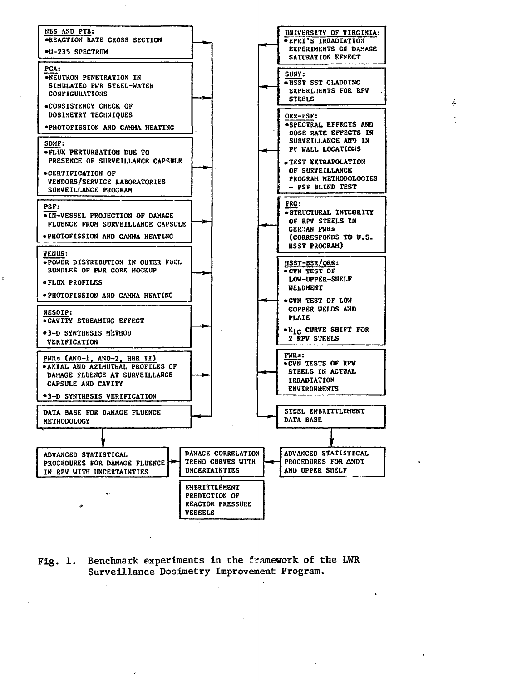

 $\ddot{\phantom{a}}$ 

÷.

Fig. 1. Benchmark experiments in the framework of the LWR Surveillance Dosimetry Improvement Program.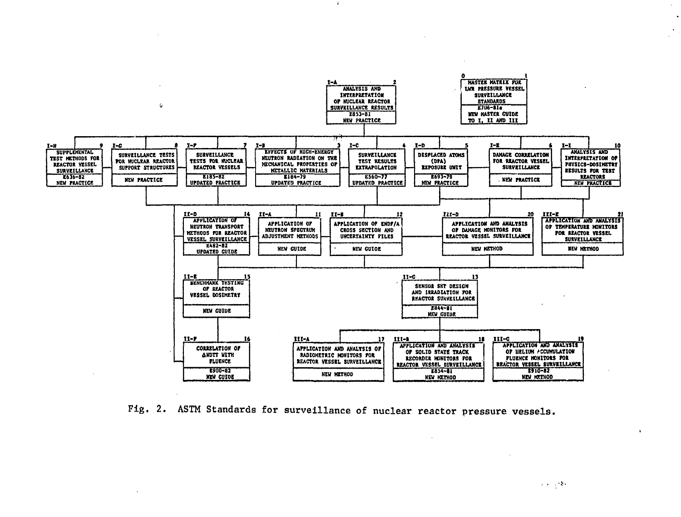

Fig. 2. ASTM Standards for surveillance of nuclear reactor pressure vessels.

医单元 绿色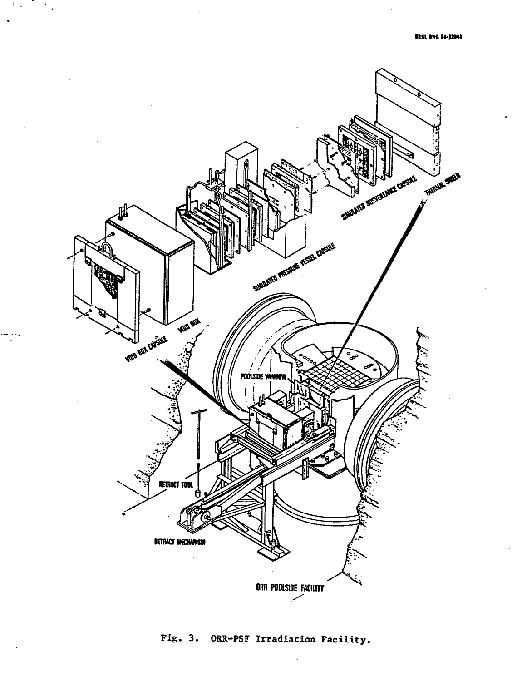

 $U_{\rm{max}}$ 

 $\ddot{\phantom{a}}$ 

 $\mathcal{A}_\bullet$ 

 $\mathcal{L} \in \mathcal{L}_\infty$ 

# Fig. 3. ORR-PSF Irradiation Facility.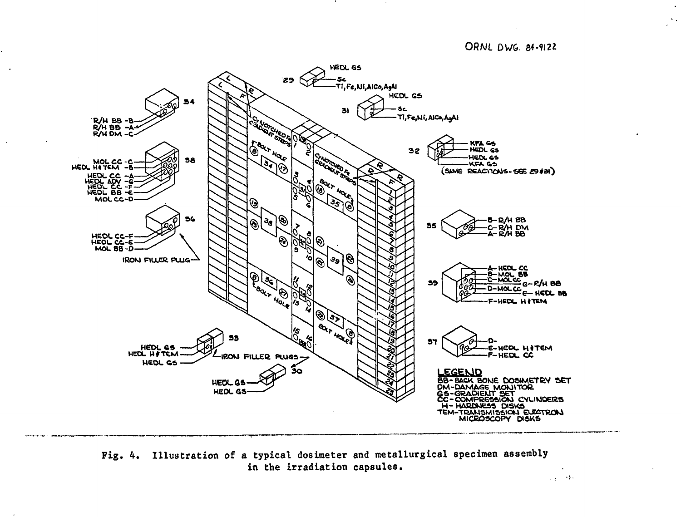

Fig. 4. Illustration of a typical dosimeter and metallurgical specimen assembly in the irradiation capsules.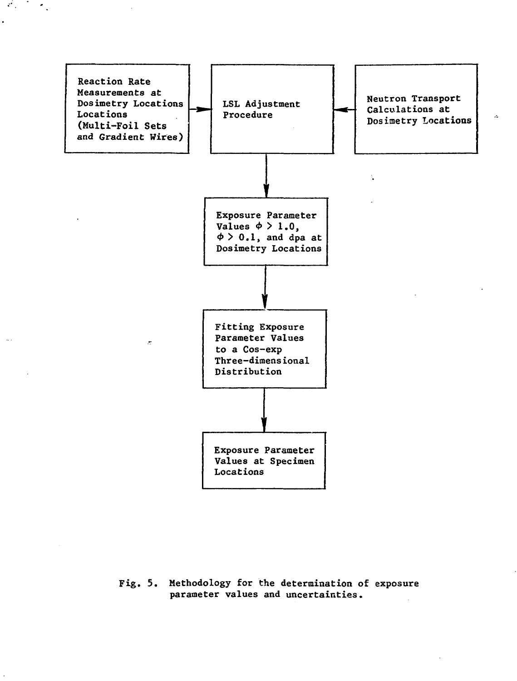

 $\mathcal{E}(\mathcal{E})$  and  $\mathcal{E}(\mathcal{E})$ 

**Fig. 5. Methodology for the determination of exposure parameter values and uncertainties.**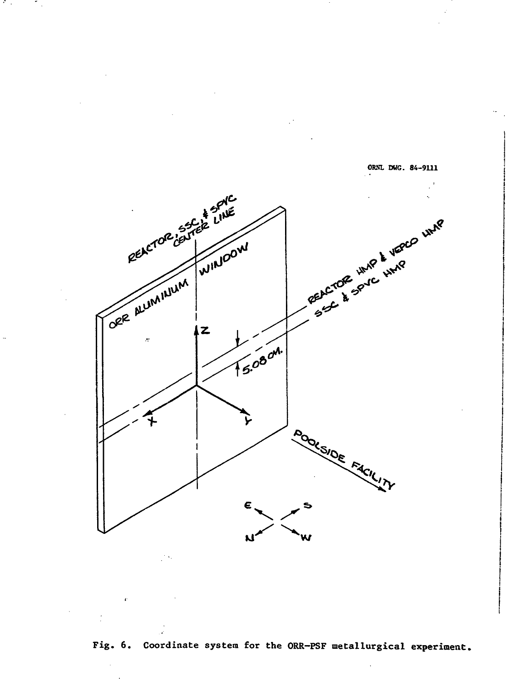

A.

 $\mathcal{L}_{\mathcal{A}}$ 

**Fig. 6. Coordinate system for the ORR-PSF metallurgical experiment.**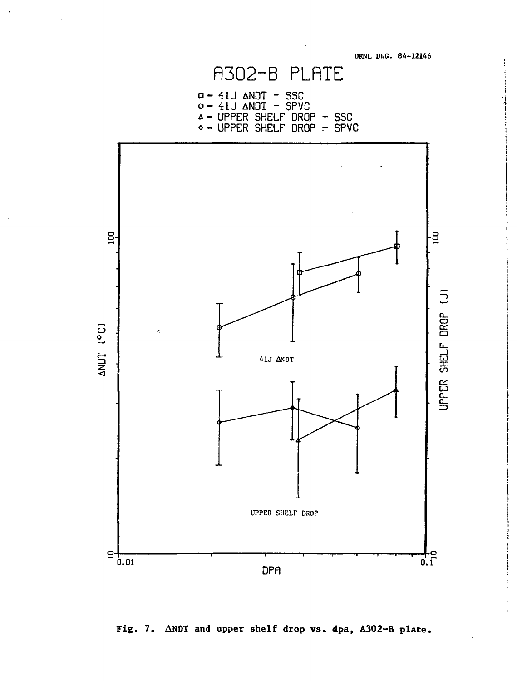

**Fig. 7. ANDT and upper shelf drop vs. dpa, A302-B plate .**

# **ORNL DWG. 84-1214 6**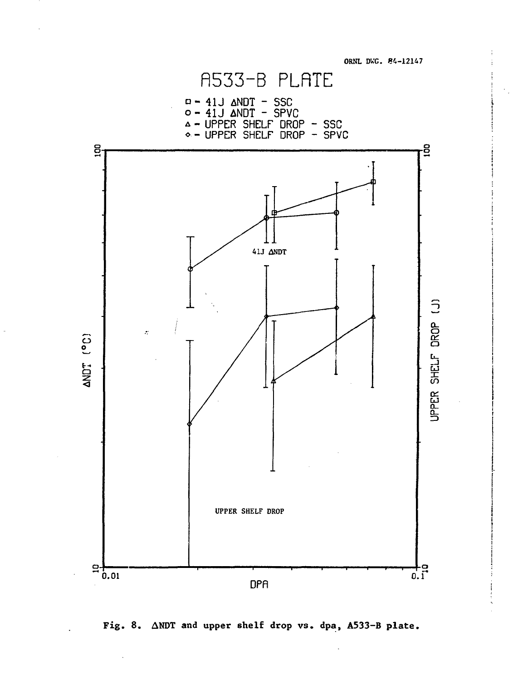**ORNL DWC. 84-12147**



 $\overline{\phantom{a}}$ 

**Fig. 8. ANDT and upper shelf drop vs. dpa, A533-B plate.**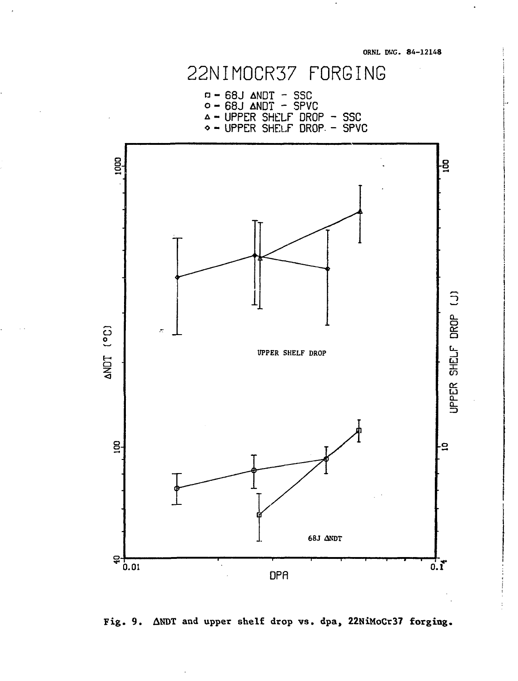

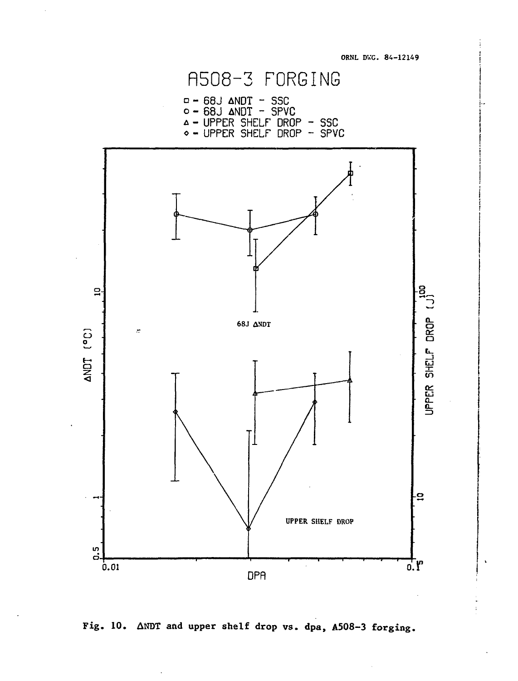



ORNL DWG. 84-12149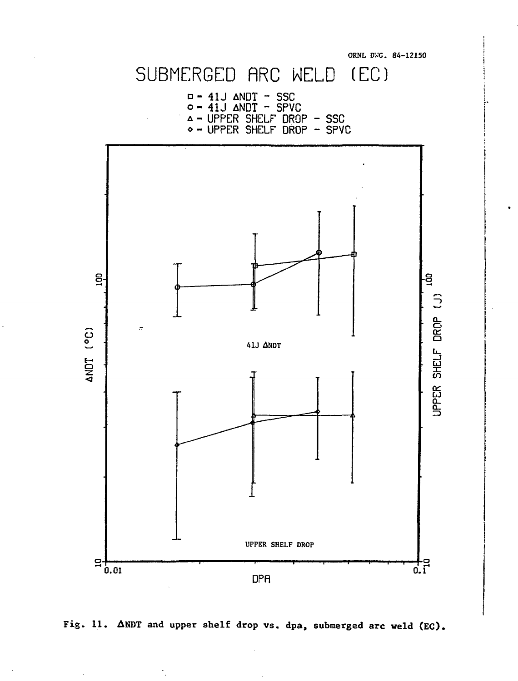

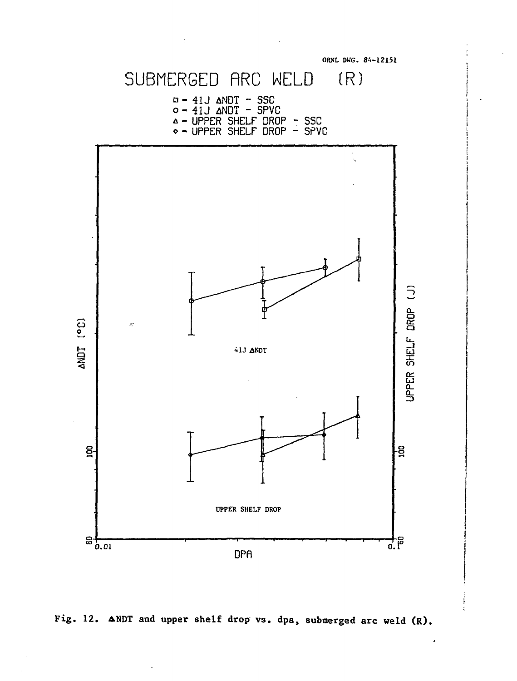



 $\pmb{\cdot}$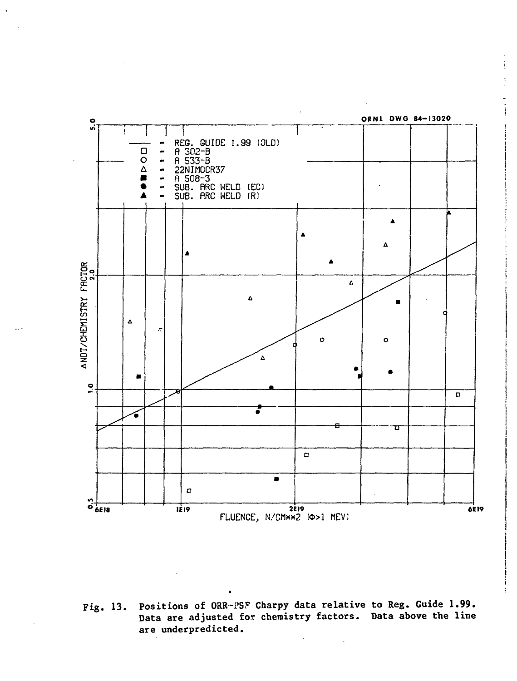

Positions of ORR-PSF Charpy data relative to Reg. Guide 1.99. Fig. 13. Data are adjusted for chemistry factors. Data above the line are underpredicted.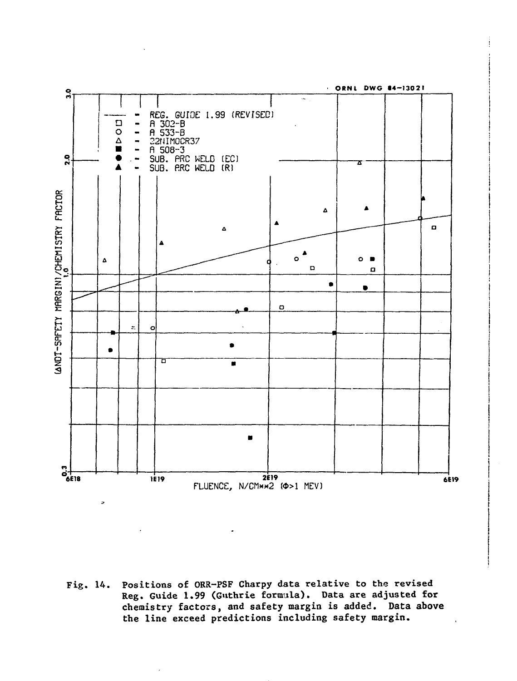

Positions of ORR-PSF Charpy data relative to the revised Fig.  $14.$ Reg. Guide 1.99 (Guthrie formula). Data are adjusted for chemistry factors, and safety margin is added. Data above the line exceed predictions including safety margin.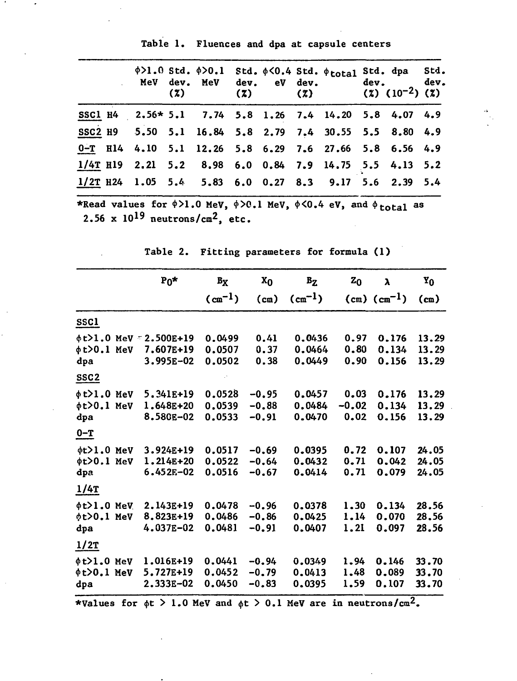|  | Table 1. Fluences and dpa at capsule centers |  |  |  |  |  |
|--|----------------------------------------------|--|--|--|--|--|
|--|----------------------------------------------|--|--|--|--|--|

|                                                            | (2) | (7) |  | $\phi$ >1.0 Std. $\phi$ >0.1 Std. $\phi$ <0.4 Std. $\phi$ total<br>MeV dev. MeV dev. eV dev. dev. dev.<br>$(2)$ $(2)$ $(10^{-2})$ $(2)$ | Std. dpa Std. |  |
|------------------------------------------------------------|-----|-----|--|-----------------------------------------------------------------------------------------------------------------------------------------|---------------|--|
| SSC1 H4 2.56* 5.1 7.74 5.8 1.26 7.4 14.20 5.8 4.07 4.9     |     |     |  |                                                                                                                                         |               |  |
| SSC2 H9 5.50 5.1 16.84 5.8 2.79 7.4 30.55 5.5 8.80 4.9     |     |     |  |                                                                                                                                         |               |  |
| $0 - T$ H14 4.10 5.1 12.26 5.8 6.29 7.6 27.66 5.8 6.56 4.9 |     |     |  |                                                                                                                                         |               |  |
| $1/4$ T H19 2.21 5.2 8.98 6.0 0.84 7.9 14.75 5.5 4.13 5.2  |     |     |  |                                                                                                                                         |               |  |
| $1/2$ T H24 1.05 5.4 5.83 6.0 0.27 8.3 9.17 5.6 2.39 5.4   |     |     |  |                                                                                                                                         |               |  |

\*Read values for  $\phi > 1.0$  MeV,  $\phi > 0.1$  MeV,  $\phi < 0.4$  eV, and  $2.56$  x  $10^{19}$  neutrons/cm<sup>2</sup>, etc. **as**

|                                               |     | $P_0*$                                                 | $B_X$                      | $x_0$                         | $B_{Z}$                    | $z_0$                   | λ                       | Y <sub>0</sub>          |
|-----------------------------------------------|-----|--------------------------------------------------------|----------------------------|-------------------------------|----------------------------|-------------------------|-------------------------|-------------------------|
|                                               |     |                                                        | $(m^{-1})$                 | (c <sub>m</sub> )             | $(\text{cm}^{-1})$         |                         | $(cm)$ $(cm^{-1})$      | (m)                     |
| <u>SSCI</u>                                   |     |                                                        |                            |                               |                            |                         |                         |                         |
| φt>0.1<br>dpa                                 | MeV | $\phi$ t>1.0 MeV = 2.500E+19<br>7.607E+19<br>3.995E-02 | 0.0499<br>0.0507<br>0.0502 | 0.41<br>0.37<br>0.38          | 0.0436<br>0.0464<br>0.0449 | 0.97<br>0.80<br>0.90    | 0.176<br>0.134<br>0.156 | 13.29<br>13.29<br>13.29 |
| SSC <sub>2</sub>                              |     |                                                        |                            |                               |                            |                         |                         |                         |
| $\phi$ t>l.0 MeV<br>¢t>0.1 MeV<br>dpa         |     | 5.341E+19<br>1.648E+20<br>8.580E-02                    | 0.0528<br>0.0539<br>0.0533 | $-0.95$<br>$-0.88$<br>$-0.91$ | 0.0457<br>0.0484<br>0.0470 | 0.03<br>$-0.02$<br>0.02 | 0.176<br>0.134<br>0.156 | 13,29<br>13.29<br>13.29 |
| $0 - T$                                       |     |                                                        |                            |                               |                            |                         |                         |                         |
| $\phi t > 1.0$ MeV<br>$\phi$ t>0.1 MeV<br>dpa |     | 3.924E+19<br>1.214E+20<br>6.452E-02                    | 0.0517<br>0.0522<br>0.0516 | $-0.69$<br>$-0.64$<br>$-0.67$ | 0.0395<br>0.0432<br>0.0414 | 0.72<br>0.71<br>0.71    | 0.107<br>0.042<br>0.079 | 24.05<br>24.05<br>24.05 |
| $1/4$ T                                       |     |                                                        |                            |                               |                            |                         |                         |                         |
| $\phi$ t $>1.0$ MeV<br>ot>0.1 MeV<br>dpa      |     | 2.143E+19<br>8.823E+19<br>4.037E-02                    | 0.0478<br>0.0486<br>0.0481 | $-0.96$<br>$-0.86$<br>$-0.91$ | 0.0378<br>0.0425<br>0.0407 | 1.30<br>1.14<br>1.21    | 0.134<br>0.070<br>0.097 | 28.56<br>28,56<br>28.56 |
| $\frac{1}{2}$                                 |     |                                                        |                            |                               |                            |                         |                         |                         |
| $\phi t > 1.0$ MeV<br>$\phi$ t>0.1 MeV<br>dpa |     | 1.016E+19<br>5.727E+19<br>2.333E-02                    | 0.0441<br>0.0452<br>0.0450 | $-0.94$<br>$-0.79$<br>$-0.83$ | 0.0349<br>0.0413<br>0.0395 | 1.94<br>1,48<br>1.59    | 0.146<br>0.089<br>0.107 | 33.70<br>33.70<br>33.70 |

**Table 2. Fitting parameters for formula (1)**

\*Values for  $\phi$ t > 1.0 MeV and  $\phi$ t > 0.1 MeV are in neutrons/cm<sup>2</sup>.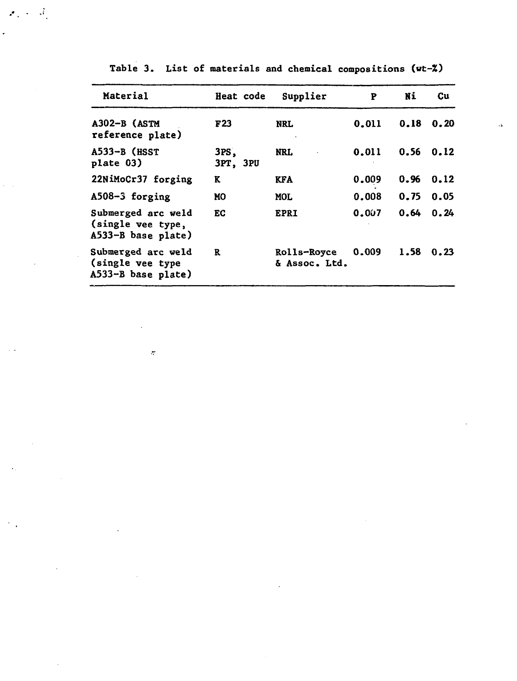| Material                                                        | Heat code        | Supplier                     | P     | Ni   | Cu   |
|-----------------------------------------------------------------|------------------|------------------------------|-------|------|------|
| A302-B (ASTM<br>reference plate)                                | F <sub>23</sub>  | NRL.                         | 0.011 | 0.18 | 0.20 |
| $A533-B$ (HSST<br>plate 03)                                     | 3PS.<br>3PT, 3PU | NRL.                         | 0.011 | 0.56 | 0.12 |
| 22NiMoCr37 forging                                              | K                | KFA                          | 0.009 | 0.96 | 0.12 |
| A508-3 forging                                                  | MO               | <b>MOL</b>                   | 0.008 | 0.75 | 0.05 |
| Submerged arc weld<br>(single vee type,<br>$A533-B$ base plate) | EC.              | <b>EPRI</b>                  | 0.007 | 0.64 | 0.24 |
| Submerged arc weld<br>(single vee type<br>$A533-B$ base plate)  | R                | Rolls-Royce<br>& Assoc. Ltd. | 0.009 | 1.58 | 0.23 |

 $\tilde{\sigma}$ 

 $\bar{\mathcal{A}}$ 

Table 3. List of materials and chemical compositions (wt-%)

 $\ddot{\phantom{a}}$ 

 $\mathcal{A}_1 \neq \mathcal{A}_1$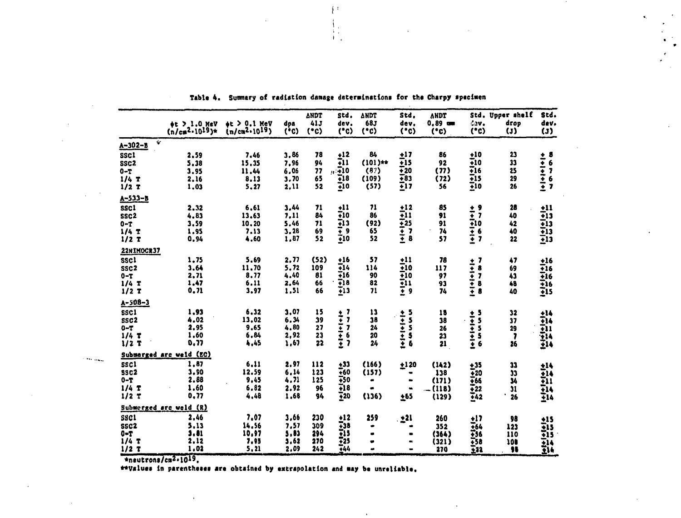|                  | $#t > 1.0$ MeV<br>$(n/\text{cm}^{2.1019})$ * | $\det$ > 0.1 MeV<br>(n/cm <sup>2</sup> ·10 <sup>19</sup> ) | doa<br>(°c) | <b>ANDT</b><br>413<br>(°c) | Std.<br>dev.<br>(°c)                     | <b>ANDT</b><br>683<br>(°c) | Std.<br>dev.<br>(°c)                | <b>ANDT</b><br>$0.89 =$<br>(°c) | dev.<br>(°c)                                                 | Std. Upper shelf<br>drop<br>$\left( 1\right)$ | Std.<br>dev.<br>(3)                                                                                                                |
|------------------|----------------------------------------------|------------------------------------------------------------|-------------|----------------------------|------------------------------------------|----------------------------|-------------------------------------|---------------------------------|--------------------------------------------------------------|-----------------------------------------------|------------------------------------------------------------------------------------------------------------------------------------|
| $A - 302 - B$    | Ý                                            |                                                            |             |                            |                                          |                            |                                     |                                 |                                                              |                                               |                                                                                                                                    |
| <b>SSC1</b>      | 2.59                                         | 7.46                                                       | 3,86        | 78                         | $\frac{12}{11}$                          | 84                         | $+17$                               | 86                              | $\frac{10}{10}$                                              | 23                                            |                                                                                                                                    |
| SSC <sub>2</sub> | 5.38                                         | 15.35                                                      | 7.96        | 94                         |                                          | $(101)**$                  | T15                                 | 92                              |                                                              | 33                                            |                                                                                                                                    |
| $0-T$            | 3.95                                         | 11.44                                                      | 6,06        | 77                         | .710                                     | (37)                       | $\bar{+}20$                         | (77)                            | $\frac{116}{115}$                                            | 25                                            |                                                                                                                                    |
| $1/4$ T          | 2.16                                         | 8.13                                                       | 3,70        | 65                         | 718                                      | (109)                      | $-83$                               | (72)                            |                                                              | 29                                            |                                                                                                                                    |
| $1/2$ T          | 1,03                                         | 5.27                                                       | 2,11        | 52                         | 70                                       | (57)                       | $\bar{t}$ 17                        | 56                              | $\frac{1}{2}10$                                              | 26                                            | $\begin{array}{c}\n+ i \\ + i \\ + i \\ + i \\ + i\n\end{array}$                                                                   |
| $A - 533 - B$    |                                              |                                                            |             |                            |                                          |                            |                                     |                                 |                                                              |                                               |                                                                                                                                    |
| <b>SSCI</b>      | 2.32                                         | 6.61                                                       | 3,44        | 71                         | $+11$                                    | 71                         | $\frac{112}{11}$                    | 85                              |                                                              | 28                                            |                                                                                                                                    |
| SSC <sub>2</sub> | 4.83                                         | 13,63                                                      | 7,11        | 84                         | ₹10                                      | 86                         |                                     | 91                              |                                                              | 40                                            |                                                                                                                                    |
| $0 - T$          | 3.59                                         | 10,20                                                      | 5.46        | 71                         | 713                                      | (92)                       | ∓25                                 | 91                              |                                                              | 42                                            |                                                                                                                                    |
| $1/4$ T          | 1.95                                         | 7.13                                                       | 3.28        | 69                         |                                          | 65                         |                                     | 74                              |                                                              | 40                                            |                                                                                                                                    |
| $1/2$ T          | 0.94                                         | 4,60                                                       | 1.87        | 52                         | $\frac{1}{2}$<br>$\frac{1}{2}$ 10        | 52                         | $\frac{1}{1}$<br>$\frac{1}{2}$<br>8 | 57                              | $+77067$<br>$+1067$                                          | 22                                            | $\begin{array}{r} \pm 11 \\ \pm 13 \\ \pm 13 \\ \pm 13 \\ \pm 13 \\ \pm 13 \\ \pm 13 \\ \pm 13 \\ \pm 13 \\ \pm 13 \\ \end{array}$ |
| 22NIMOCR37       |                                              |                                                            |             |                            |                                          |                            |                                     |                                 |                                                              |                                               |                                                                                                                                    |
| <b>SSCI</b>      | 1.75                                         | 5.69                                                       | 2.77        | (52)                       | $+16$                                    | 57                         | $+11$                               | 78                              |                                                              | 47                                            |                                                                                                                                    |
| SSC <sub>2</sub> | 3.64                                         | 11.70                                                      | 5.72        | 109                        | ∓14                                      | 114                        | ∓10                                 | 117                             |                                                              | 69                                            |                                                                                                                                    |
| $0 - T$          | 2,71                                         | 8.77                                                       | 4.40        | 81                         | ∓16                                      | 90                         | ∓10                                 | 97                              |                                                              | 43                                            |                                                                                                                                    |
| $1/4$ T          | 1.47                                         | 6.11                                                       | 2,64        | 66                         | 718                                      | 82                         |                                     | 93                              |                                                              | 48                                            |                                                                                                                                    |
| $1/2$ T          | 0.71                                         | 3,97                                                       | 1,51        | 66                         | $\overline{1}13$                         | 71                         | ii<br>I!                            | 74                              | $+1$<br>$+1$<br>$+1$<br>$+1$<br>$+1$<br>$+1$<br>$+1$<br>$+1$ | 40                                            | $+16$<br>$+16$<br>$+16$<br>$+16$<br>$+16$<br>$+15$                                                                                 |
| $A - 50B - 3$    |                                              |                                                            |             |                            |                                          |                            |                                     |                                 |                                                              |                                               |                                                                                                                                    |
| <b>SSC1</b>      | 1,93                                         | 6,32                                                       | 3.07        | 15                         |                                          | $\mathbf{1}$               |                                     | 18                              |                                                              | 32                                            |                                                                                                                                    |
| ssc <sub>2</sub> | 4.02                                         | 13,02                                                      | 6.34        | 39                         |                                          | 38                         |                                     | 38                              |                                                              | 37                                            |                                                                                                                                    |
| $0 - T$          | 2,95                                         | 9.65                                                       | 4.80        | 27                         |                                          | 24                         |                                     | 26                              |                                                              | 29                                            |                                                                                                                                    |
| 1/4T             | 1.60                                         | 6,84                                                       | 2,92        | 23                         |                                          | 20                         |                                     | 23                              |                                                              | 7                                             |                                                                                                                                    |
| $1/2$ T          | 0.77                                         | 4,45                                                       | 1,67        | 22                         | 777767                                   | 24                         |                                     | 21                              |                                                              | 26                                            | $+14$<br>$+14$<br>$+14$<br>$+14$<br>$+14$<br>$+14$                                                                                 |
|                  | Submarged arc weld (EC)                      |                                                            |             |                            |                                          |                            |                                     |                                 |                                                              |                                               |                                                                                                                                    |
| <b>SSC1</b>      | 1,87                                         | 6,11                                                       | 2.97        | 112                        | $+33$                                    | (166)                      | $+120$                              | (142)                           |                                                              | 33                                            |                                                                                                                                    |
| <b>SSC2</b>      | 3.90                                         | 12.59                                                      | 6.14        | 123                        | 760                                      | (157)                      | $\blacksquare$                      | 138                             |                                                              | 33                                            |                                                                                                                                    |
| $0 - T$          | 2.88                                         | 9.45                                                       | 4.71        | 125                        |                                          | $\bullet$                  | $\bullet$                           | (171)                           | $+35$<br>$+20$<br>$+66$                                      | 34                                            |                                                                                                                                    |
| $1/4$ T          | 1.60                                         | 6.82                                                       | 2.92        | 96                         | $\frac{150}{118}$                        | $\bullet$                  | $\bullet$                           | $-$ (118)                       | ∓22                                                          | 31                                            |                                                                                                                                    |
| $1/2$ T          | 0,77                                         | 4.48                                                       | 1,68        | 94                         | $\frac{1}{2}20$                          | (136)                      | ±65                                 | (129)                           | $\frac{1}{2}$ 42                                             | 26                                            |                                                                                                                                    |
|                  | Submerged are weld (R)                       |                                                            |             |                            |                                          |                            |                                     |                                 |                                                              |                                               |                                                                                                                                    |
| <b>SSC1</b>      | 2,46                                         | 7.07                                                       | 3,66        | 230                        |                                          | 259                        | ±21                                 | 260                             |                                                              | 98                                            |                                                                                                                                    |
| SSC <sub>2</sub> | 5.13                                         | 14.56                                                      | 7.57        | 309                        |                                          | ۰                          |                                     | 352                             |                                                              | 123                                           |                                                                                                                                    |
| $0 - T$          | 3,81                                         | 10,97                                                      | 5,83        | 294                        |                                          | $\bullet$                  | $\bullet$                           | (364)                           |                                                              | 110                                           |                                                                                                                                    |
| $1/4$ T          | 2.12                                         | 7,95                                                       | 3,62        | 270                        | $+12$<br>$+33$<br>$+35$<br>$+25$<br>$+4$ | ۰                          | $\bullet$                           | (321)                           | $+17$<br>$+164$<br>$+56$<br>$+58$<br>$+58$                   | 100                                           | $\frac{115}{115}$<br>$\frac{115}{114}$                                                                                             |
| $1/2$ T          | 1,02                                         | 5.21                                                       | 2.09        | 242                        |                                          |                            | $\blacksquare$                      | 270                             | Ξ12                                                          | 98                                            |                                                                                                                                    |

 $\bullet$ 

Table 4. Summary of radiation damage determinations for the Charpy specimen

 $\mathcal{V}^{\pm}$ 

 $\begin{array}{c} \left\{ \begin{array}{c} 1 \\ 1 \end{array} \right. \\ \left\{ \begin{array}{c} 1 \\ 1 \end{array} \right. \end{array}$ 

**\*neutroni/eii««10<sup>19</sup> .**

أينهم المحادث

**\*\*Valuta In parentheiti are obtained by extrapolation and «ay be unreliable.**